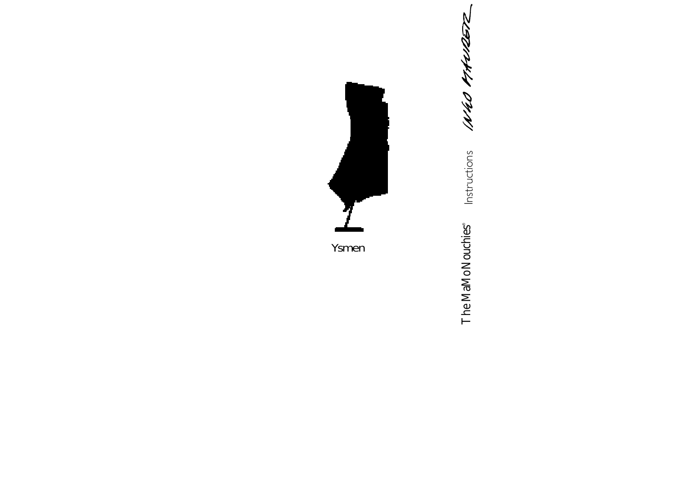1NHO 11HU

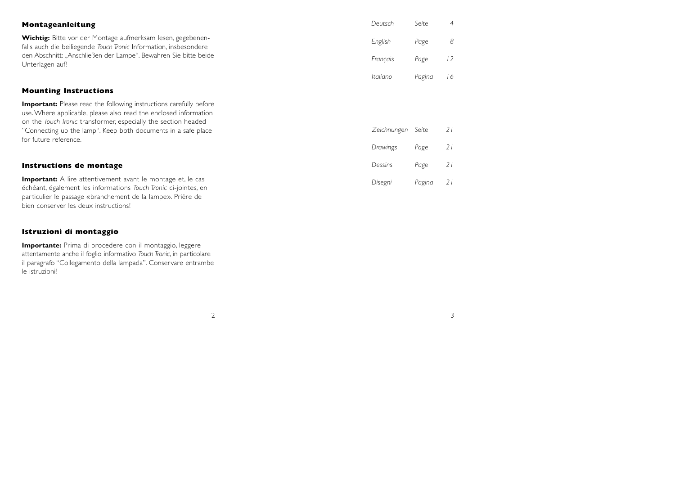| Montageanleitung                                                                                                                                                                                                               | Deutsch     | Seite  | 4  |
|--------------------------------------------------------------------------------------------------------------------------------------------------------------------------------------------------------------------------------|-------------|--------|----|
| <b>Wichtig:</b> Bitte vor der Montage aufmerksam lesen, gegebenen-<br>falls auch die beiliegende Touch Tronic Information, insbesondere<br>den Abschnitt: "Anschließen der Lampe". Bewahren Sie bitte beide<br>Unterlagen auf! | English     | Page   | 8  |
|                                                                                                                                                                                                                                | Français    | Page   | 12 |
|                                                                                                                                                                                                                                | Italiano    | Pagina | 16 |
| <b>Mounting Instructions</b>                                                                                                                                                                                                   |             |        |    |
| <b>Important:</b> Please read the following instructions carefully before<br>use. Where applicable, please also read the enclosed information<br>on the Touch Tronic transformer, especially the section headed                |             |        |    |
| "Connecting up the lamp". Keep both documents in a safe place                                                                                                                                                                  | Zeichnungen | Seite  | 21 |
| for future reference.                                                                                                                                                                                                          | Drawings    | Page   | 21 |
| Instructions de montage                                                                                                                                                                                                        | Dessins     | Page   | 21 |
| <b>Important:</b> A lire attentivement avant le montage et, le cas<br>échéant, également les informations Touch Tronic ci-jointes, en                                                                                          | Disegni     | Pagina | 21 |

# 2

particulier le passage «branchement de la lampe». Prière de

**Importante:** Prima di procedere con il montaggio, leggere attentamente anche il foglio informativo *Touch Tronic*, in particolare il paragrafo "Collegamento della lampada". Conservare entrambe

bien conserver les deux instructions!

**Istruzioni di montaggio**

le istruzioni!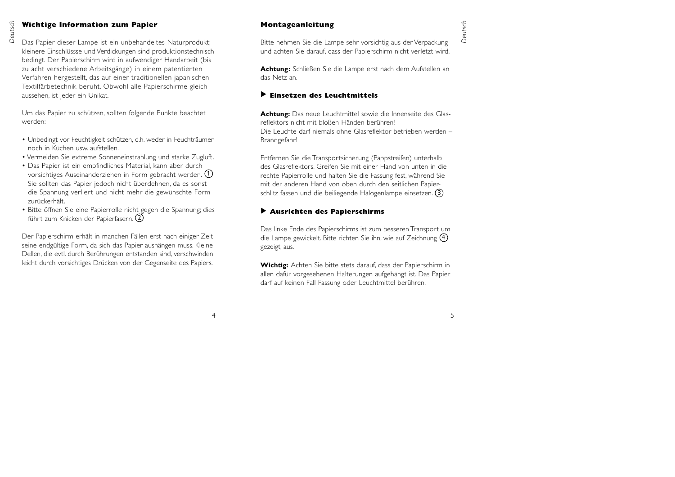#### **Wichtige Information zum Papier**

Das Papier dieser Lampe ist ein unbehandeltes Naturprodukt; kleinere Einschlüssse und Verdickungen sind produktionstechnisch bedingt. Der Papierschirm wird in aufwendiger Handarbeit (bis zu acht verschiedene Arbeitsgänge) in einem patentierten Verfahren hergestellt, das auf einer traditionellen japanischen Textilfärbetechnik beruht. Obwohl alle Papierschirme gleich aussehen, ist jeder ein Unikat.

Um das Papier zu schützen, sollten folgende Punkte beachtet werden:

- Unbedingt vor Feuchtigkeit schützen, d.h. weder in Feuchträumen noch in Küchen usw. aufstellen.
- Vermeiden Sie extreme Sonneneinstrahlung und starke Zugluft.
- Das Papier ist ein empfindliches Material, kann aber durch vorsichtiges Auseinanderziehen in Form gebracht werden. 1 Sie sollten das Papier jedoch nicht überdehnen, da es sonst die Spannung verliert und nicht mehr die gewünschte Form zurückerhält.
- Bitte öffnen Sie eine Papierrolle nicht gegen die Spannung; dies führt zum Knicken der Papierfasern. 2

Der Papierschirm erhält in manchen Fällen erst nach einiger Zeit seine endgültige Form, da sich das Papier aushängen muss. Kleine Dellen, die evtl. durch Berührungen entstanden sind, verschwinden leicht durch vorsichtiges Drücken von der Gegenseite des Papiers.

## **Montageanleitung**

Bitte nehmen Sie die Lampe sehr vorsichtig aus der Verpackung und achten Sie darauf, dass der Papierschirm nicht verletzt wird.

**Achtung:** Schließen Sie die Lampe erst nach dem Aufstellen an das Netz an.

#### **Einsetzen des Leuchtmittels** ▲

**Achtung:** Das neue Leuchtmittel sowie die Innenseite des Glasreflektors nicht mit bloßen Händen berühren! Die Leuchte darf niemals ohne Glasreflektor betrieben werden –Brandgefahr!

Entfernen Sie die Transportsicherung (Pappstreifen) unterhalb des Glasreflektors. Greifen Sie mit einer Hand von unten in dierechte Papierrolle und halten Sie die Fassung fest, während Sie mit der anderen Hand von oben durch den seitlichen Papierschlitz fassen und die beiliegende Halogenlampe einsetzen. 3

#### **Ausrichten des Papierschirms** ▲

Das linke Ende des Papierschirms ist zum besseren Transport um die Lampe gewickelt. Bitte richten Sie ihn, wie auf Zeichnung 4 gezeigt, aus.

**Wichtig:** Achten Sie bitte stets darauf, dass der Papierschirm in allen dafür vorgesehenen Halterungen aufgehängt ist. Das Papier darf auf keinen Fall Fassung oder Leuchtmittel berühren.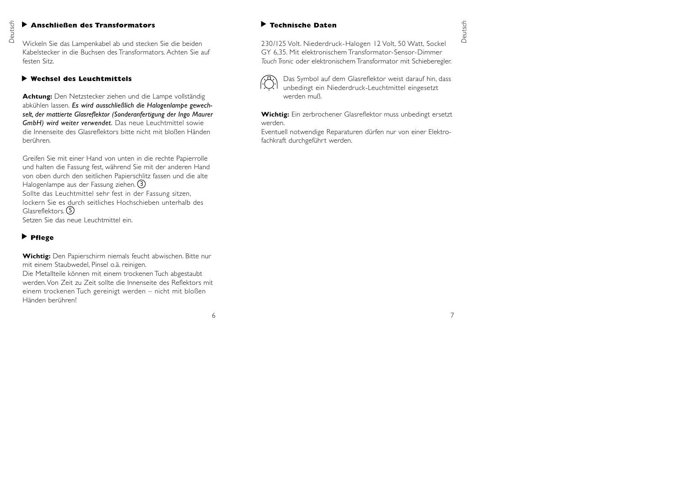#### ▶ Anschließen des Transformators

**Deutschließen des Transformators<br>Big<br>Quickeln Sie das Lampenkabel ab und stecken Sie die beiden** Kabelstecker in die Buchsen des Transformators. Achten Sie auffesten Sitz.

#### **Wechsel des Leuchtmittels**▲

**Achtung:** Den Netzstecker ziehen und die Lampe vollständig abkühlen lassen. *Es wird ausschließlich die Halogenlampe gewechselt, der mattierte Glasreflektor (Sonderanfertigung der Ingo Maurer GmbH) wird weiter verwendet.* Das neue Leuchtmittel sowie die Innenseite des Glasreflektors bitte nicht mit bloßen Händenberühren.

Greifen Sie mit einer Hand von unten in die rechte Papierrolle und halten die Fassung fest, während Sie mit der anderen Hand von oben durch den seitlichen Papierschlitz fassen und die alte Halogenlampe aus der Fassung ziehen. 3 Sollte das Leuchtmittel sehr fest in der Fassung sitzen, lockern Sie es durch seitliches Hochschieben unterhalb desGlasreflektors. 5Setzen Sie das neue Leuchtmittel ein.

# **Pflege** ▲

**Wichtig:** Den Papierschirm niemals feucht abwischen. Bitte nur mit einem Staubwedel, Pinsel o.ä. reinigen.

Die Metallteile können mit einem trockenen Tuch abgestaubt werden.Von Zeit zu Zeit sollte die Innenseite des Reflektors mit einem trockenen Tuch gereinigt werden – nicht mit bloßen Händen berühren!

## **Technische Daten**

230/125 Volt. Niederdruck-Halogen 12 Volt, 50 Watt, Sockel GY 6,35. Mit elektronischem Transformator-Sensor-Dimmer *Touch Tronic* oder elektronischem Transformator mit Schieberegler.



Das Symbol auf dem Glasreflektor weist darauf hin, dass unbedingt ein Niederdruck-Leuchtmittel eingesetzt werden muß.

**Wichtig:** Ein zerbrochener Glasreflektor muss unbedingt ersetzt werden.

Eventuell notwendige Reparaturen dürfen nur von einer Elektrofachkraft durchgeführt werden.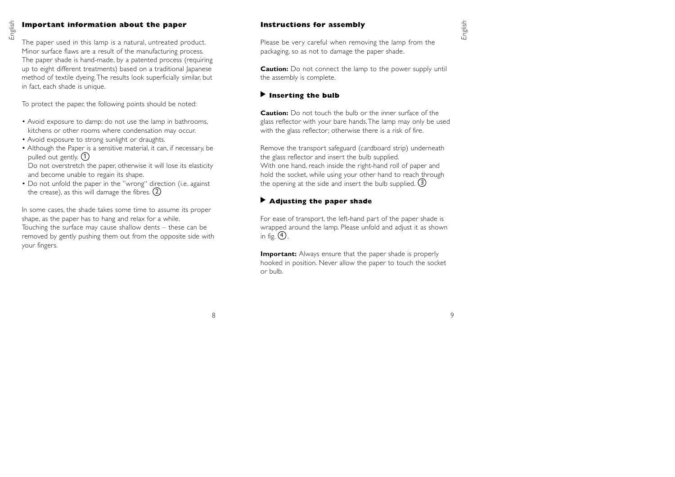#### **Important information about the paper**

*English*

The paper used in this lamp is a natural, untreated product. Minor surface flaws are a result of the manufacturing process. The paper shade is hand-made, by a patented process (requiring up to eight different treatments) based on a traditional Japanese method of textile dyeing.The results look superficially similar, but in fact, each shade is unique.

To protect the paper, the following points should be noted:

- Avoid exposure to damp: do not use the lamp in bathrooms, kitchens or other rooms where condensation may occur.
- Avoid exposure to strong sunlight or draughts.
- Although the Paper is a sensitive material, it can, if necessary, be pulled out gently. 1

Do not overstretch the paper, otherwise it will lose its elasticity and become unable to regain its shape.

• Do not unfold the paper in the "wrong" direction (i.e. against the crease), as this will damage the fibres. 2

In some cases, the shade takes some time to assume its proper shape, as the paper has to hang and relax for a while. Touching the surface may cause shallow dents – these can be removed by gently pushing them out from the opposite side with your fingers.

#### **Instructions for assembly**

Please be very careful when removing the lamp from the packaging, so as not to damage the paper shade.

**Caution:** Do not connect the lamp to the power supply until the assembly is complete.

# ▶ Inserting the bulb

**Caution:** Do not touch the bulb or the inner surface of theglass reflector with your bare hands.The lamp may only be used with the glass reflector; otherwise there is a risk of fire.

Remove the transport safeguard (cardboard strip) underneath the glass reflector and insert the bulb supplied. With one hand, reach inside the right-hand roll of paper and hold the socket, while using your other hand to reach through the opening at the side and insert the bulb supplied. (3

# **Adjusting the paper shade**  ▲

For ease of transport, the left-hand part of the paper shade is wrapped around the lamp. Please unfold and adjust it as shown in fig.  $(4)$ .

**Important:** Always ensure that the paper shade is properly hooked in position. Never allow the paper to touch the socket or bulb.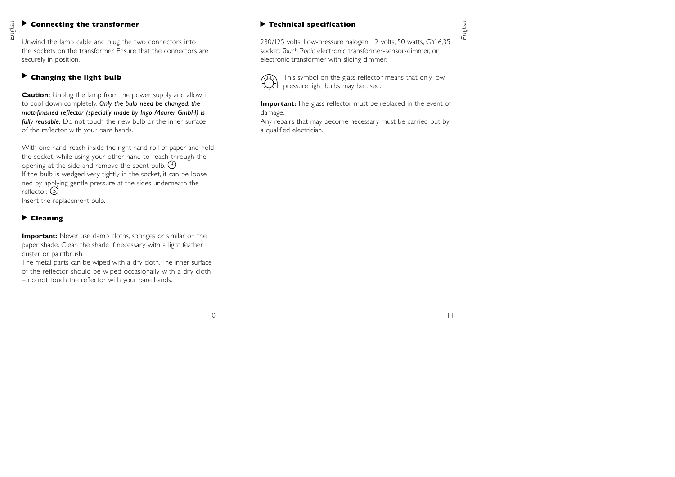## $\blacktriangleright$  Connecting the transformer

**English Connecting the transformer**<br>
Unwind the lamp cable and plug the two connectors into the sockets on the transformer. Ensure that the connectors aresecurely in position.

# **Changing the light bulb**  ▲

**Caution:** Unplug the lamp from the power supply and allow it to cool down completely. *Only the bulb need be changed: the matt-finished reflector (specially made by Ingo Maurer GmbH) is fully reusable.* Do not touch the new bulb or the inner surface of the reflector with your bare hands.

With one hand, reach inside the right-hand roll of paper and hold the socket, while using your other hand to reach through the opening at the side and remove the spent bulb. 3 If the bulb is wedged very tightly in the socket, it can be loosened by applying gentle pressure at the sides underneath the reflector. (5 Insert the replacement bulb.

# **Cleaning** ▲

**Important:** Never use damp cloths, sponges or similar on the paper shade. Clean the shade if necessary with a light feather duster or paintbrush.

The metal parts can be wiped with a dry cloth.The inner surface of the reflector should be wiped occasionally with a dry cloth – do not touch the reflector with your bare hands.

# **Technical specification**

230/125 volts. Low-pressure halogen, 12 volts, 50 watts, GY 6,35 socket. *Touch Tronic* electronic transformer-sensor-dimmer, or electronic transformer with sliding dimmer.



This symbol on the glass reflector means that only lowpressure light bulbs may be used.

**Important:** The glass reflector must be replaced in the event of damage.

Any repairs that may become necessary must be carried out by a qualified electrician.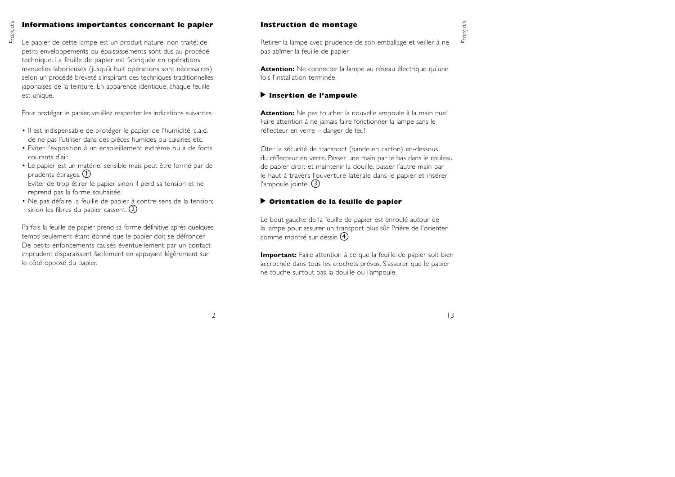# *Français*

## **Informations importantes concernant le papier**

Le papier de cette lampe est un produit naturel non-traité; de petits enveloppements ou épaississements sont dus au procédé technique. La feuille de papier est fabriquée en opérations manuelles laborieuses (jusqu'à huit opérations sont nécessaires) selon un procédé breveté s'inspirant des techniques traditionnelles japonaises de la teinture. En apparence identique, chaque feuille est unique.

Pour protéger le papier, veuillez respecter les indications suivantes:

- Il est indispensable de protéger le papier de l'humidité, c.à.d. de ne pas l'utiliser dans des pièces humides ou cuisines etc.
- Eviter l'exposition à un ensoleillement extrème ou à de forts courants d'air.
- Le papier est un matériel sensible mais peut être formé par de prudents étirages. 1

Eviter de trop étirer le papier sinon il perd sa tension et ne reprend pas la forme souhaitée.

• Ne pas défaire la feuille de papier à contre-sens de la tension; sinon les fibres du papier cassent. 2

Parfois la feuille de papier prend sa forme définitive après quelques temps seulement étant donné que le papier doit se défroncer. De petits enfoncements causés éventuellement par un contact imprudent disparaissent facilement en appuyant légèrement sur le côté opposé du papier.

# **Instruction de montage**

Retirer la lampe avec prudence de son emballage et veiller à ne pas abîmer la feuille de papier.

**Attention:** Ne connecter la lampe au réseau électrique qu'une fois l'installation terminée.

# **Insertion de l'ampoule** ▲

**Attention:** Ne pas toucher la nouvelle ampoule à la main nue! Faire attention à ne jamais faire fonctionner la lampe sans le réflecteur en verre – danger de feu!

Oter la sécurité de transport (bande en carton) en-dessous du réflecteur en verre. Passer une main par le bas dans le rouleau de papier droit et maintenir la douille, passer l'autre main par le haut à travers l'ouverture latérale dans le papier et insérer l'ampoule jointe. 3

# **Orientation de la feuille de papier** ▲

Le bout gauche de la feuille de papier est enroulé autour de la lampe pour assurer un transport plus sûr. Prière de l'orienter comme montré sur dessin  $(4)$ 

**Important:** Faire attention à ce que la feuille de papier soit bien accrochée dans tous les crochets prévus. S'assurer que le papier ne touche surtout pas la douille ou l'ampoule.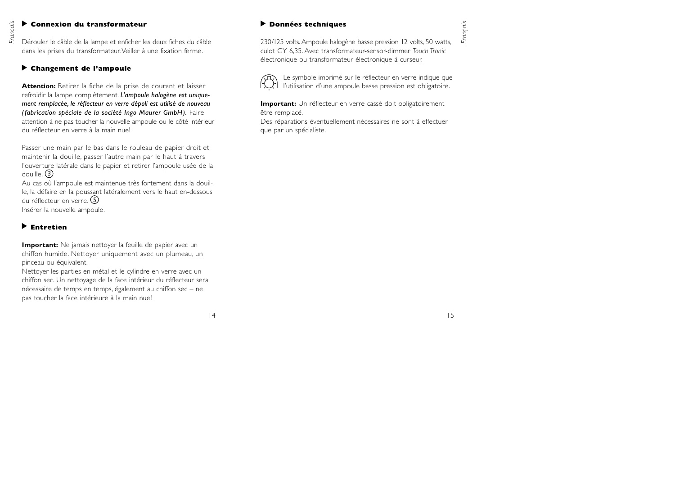#### ◆ Connexion du transformateur

Dérouler le câble de la lampe et enficher les deux fiches du câble dans les prises du transformateur.Veiller à une fixation ferme.

#### **Changement de l'ampoule** ▲

**Attention:** Retirer la fiche de la prise de courant et laisser refroidir la lampe complètement. *L'ampoule halogène est uniquement remplacée, le réflecteur en verre dépoli est utilisé de nouveau (fabrication spéciale de la société Ingo Maurer GmbH).* Faire attention à ne pas toucher la nouvelle ampoule ou le côté intérieur du réflecteur en verre à la main nue!

Passer une main par le bas dans le rouleau de papier droit et maintenir la douille, passer l'autre main par le haut à travers l'ouverture latérale dans le papier et retirer l'ampoule usée de la douille. (3

Au cas où l'ampoule est maintenue très fortement dans la douille, la défaire en la poussant latéralement vers le haut en-dessous du réflecteur en verre. (5 Insérer la nouvelle ampoule.

#### **Entretien**▲

*Français*

**Important:** Ne jamais nettoyer la feuille de papier avec un chiffon humide. Nettoyer uniquement avec un plumeau, un pinceau ou équivalent.

Nettoyer les parties en métal et le cylindre en verre avec un chiffon sec. Un nettoyage de la face intérieur du réflecteur sera nécessaire de temps en temps, également au chiffon sec – ne pas toucher la face intérieure à la main nue!

#### **Données techniques**

230/125 volts. Ampoule halogène basse pression 12 volts, 50 watts, culot GY 6,35. Avec transformateur-sensor-dimmer *Touch Tronic* électronique ou transformateur électronique à curseur.



Le symbole imprimé sur le réflecteur en verre indique que l'utilisation d'une ampoule basse pression est obligatoire.

**Important:** Un réflecteur en verre cassé doit obligatoirement être remplacé.

Des réparations éventuellement nécessaires ne sont à effectuer que par un spécialiste.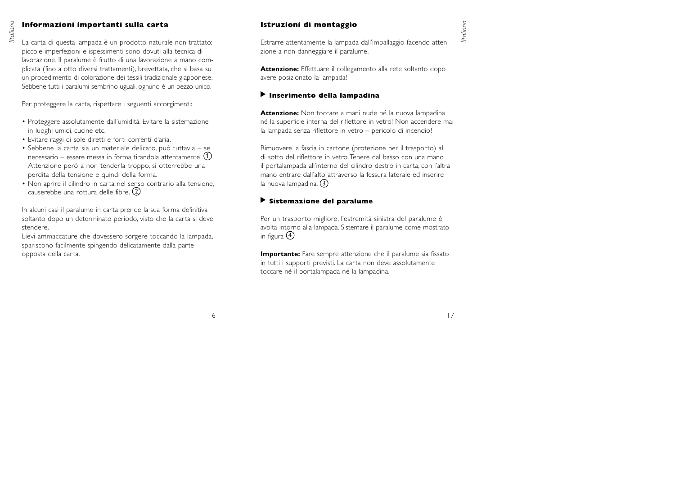#### **Informazioni importanti sulla carta**

La carta di questa lampada è un prodotto naturale non trattato; piccole imperfezioni e ispessimenti sono dovuti alla tecnica di lavorazione. Il paralume è frutto di una lavorazione a mano complicata (fino a otto diversi trattamenti), brevettata, che si basa su un procedimento di colorazione dei tessili tradizionale giapponese. Sebbene tutti i paralumi sembrino uguali, ognuno è un pezzo unico.

Per proteggere la carta, rispettare i seguenti accorgimenti:

- Proteggere assolutamente dall'umidità. Evitare la sistemazione in luoghi umidi, cucine etc.
- Evitare raggi di sole diretti e forti correnti d'aria.
- Sebbene la carta sia un materiale delicato, può tuttavia se necessario – essere messa in forma tirandola attentamente. 1 Attenzione però a non tenderla troppo, si otterrebbe una perdita della tensione e quindi della forma.
- Non aprire il cilindro in carta nel senso contrario alla tensione, causerebbe una rottura delle fibre.  $\left(2\right)$

In alcuni casi il paralume in carta prende la sua forma definitiva soltanto dopo un determinato periodo, visto che la carta si deve stendere.

Lievi ammaccature che dovessero sorgere toccando la lampada, spariscono facilmente spingendo delicatamente dalla parte opposta della carta.

#### **Istruzioni di montaggio**

Estrarre attentamente la lampada dall'imballaggio facendo attenzione a non danneggiare il paralume.

**Attenzione:** Effettuare il collegamento alla rete soltanto dopo avere posizionato la lampada!

#### **Inserimento della lampadina** ▲

**Attenzione:** Non toccare a mani nude né la nuova lampadina né la superficie interna del riflettore in vetro! Non accendere mai la lampada senza riflettore in vetro – pericolo di incendio!

Rimuovere la fascia in cartone (protezione per il trasporto) al di sotto del riflettore in vetro.Tenere dal basso con una mano il portalampada all'interno del cilindro destro in carta, con l'altra mano entrare dall'alto attraverso la fessura laterale ed inserire la nuova lampadina. 3

### **Sistemazione del paralume** ▲

Per un trasporto migliore, l'estremità sinistra del paralume è avolta intorno alla lampada. Sistemare il paralume come mostrato in figura  $\left(\!\frac{4}{\pi}\right)$ 

**Importante:** Fare sempre attenzione che il paralume sia fissato in tutti i supporti previsti. La carta non deve assolutamente toccare né il portalampada né la lampadina.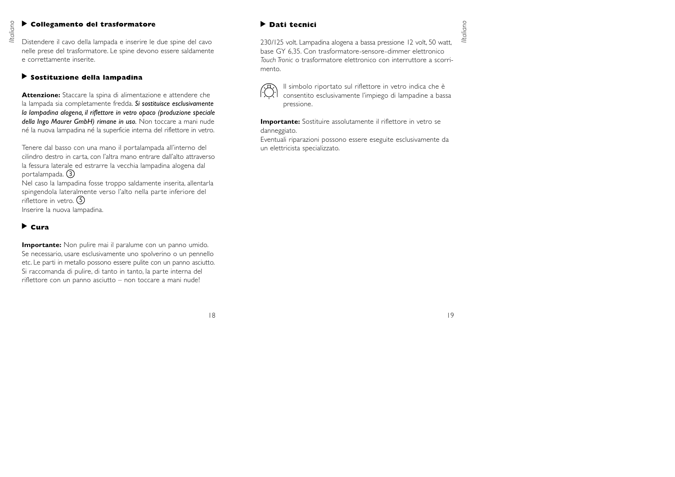#### **Collegamento del trasformatore**  ▲▲

Distendere il cavo della lampada e inserire le due spine del cavo nelle prese del trasformatore. Le spine devono essere saldamente e correttamente inserite.

#### **Sostituzione della lampadina** ▲

**Attenzione:** Staccare la spina di alimentazione e attendere che la lampada sia completamente fredda. *Si sostituisce esclusivamente la lampadina alogena, il riflettore in vetro opaco (produzione speciale della Ingo Maurer GmbH) rimane in uso.* Non toccare a mani nude né la nuova lampadina né la superficie interna del riflettore in vetro.

Tenere dal basso con una mano il portalampada all'interno del cilindro destro in carta, con l'altra mano entrare dall'alto attraverso la fessura laterale ed estrarre la vecchia lampadina alogena dal portalampada. 3

Nel caso la lampadina fosse troppo saldamente inserita, allentarla spingendola lateralmente verso l'alto nella parte inferiore del riflettore in vetro. 5Inserire la nuova lampadina.

# **Cura**▲

**Importante:** Non pulire mai il paralume con un panno umido. Se necessario, usare esclusivamente uno spolverino o un pennello etc. Le parti in metallo possono essere pulite con un panno asciutto. Si raccomanda di pulire, di tanto in tanto, la parte interna del riflettore con un panno asciutto – non toccare a mani nude!

# **Dati tecnici**

230/125 volt. Lampadina alogena a bassa pressione 12 volt, 50 watt, base GY 6,35. Con trasformatore-sensore-dimmer elettronico *Touch Tronic* o trasformatore elettronico con interruttore a scorrimento.



Il simbolo riportato sul riflettore in vetro indica che è consentito esclusivamente l'impiego di lampadine a bassa pressione.

**Importante:** Sostituire assolutamente il riflettore in vetro se danneggiato.

Eventuali riparazioni possono essere eseguite esclusivamente da un elettricista specializzato.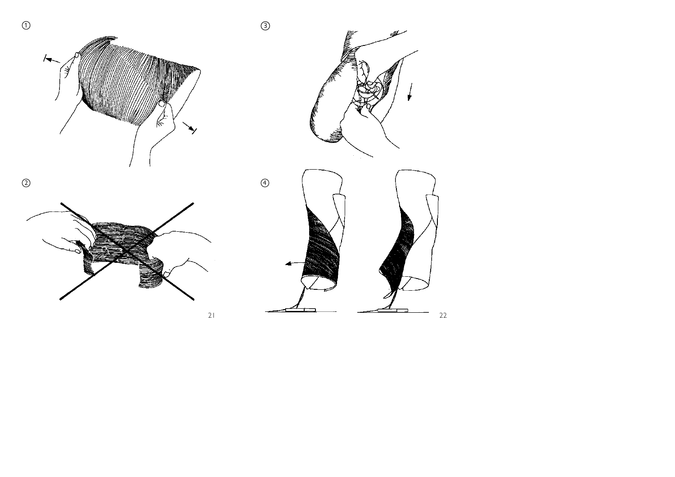







3